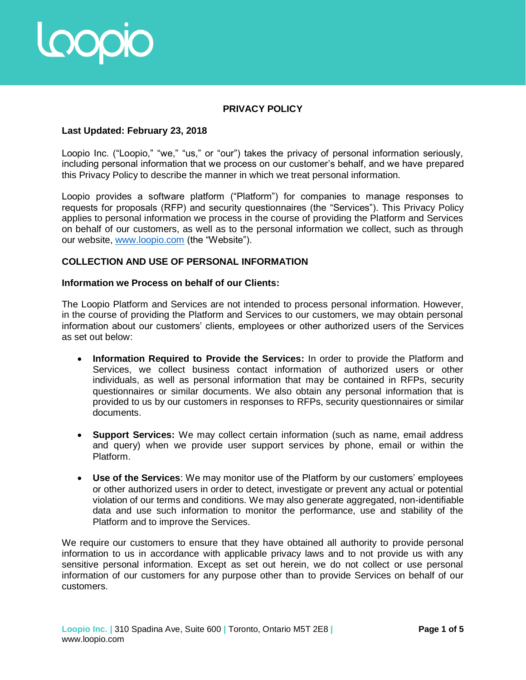

# **PRIVACY POLICY**

## **Last Updated: February 23, 2018**

Loopio Inc. ("Loopio," "we," "us," or "our") takes the privacy of personal information seriously, including personal information that we process on our customer's behalf, and we have prepared this Privacy Policy to describe the manner in which we treat personal information.

Loopio provides a software platform ("Platform") for companies to manage responses to requests for proposals (RFP) and security questionnaires (the "Services"). This Privacy Policy applies to personal information we process in the course of providing the Platform and Services on behalf of our customers, as well as to the personal information we collect, such as through our website, [www.loopio.com](http://www.loopio.com/) (the "Website").

# **COLLECTION AND USE OF PERSONAL INFORMATION**

#### **Information we Process on behalf of our Clients:**

The Loopio Platform and Services are not intended to process personal information. However, in the course of providing the Platform and Services to our customers, we may obtain personal information about our customers' clients, employees or other authorized users of the Services as set out below:

- **Information Required to Provide the Services:** In order to provide the Platform and Services, we collect business contact information of authorized users or other individuals, as well as personal information that may be contained in RFPs, security questionnaires or similar documents. We also obtain any personal information that is provided to us by our customers in responses to RFPs, security questionnaires or similar documents.
- **Support Services:** We may collect certain information (such as name, email address and query) when we provide user support services by phone, email or within the Platform.
- **Use of the Services**: We may monitor use of the Platform by our customers' employees or other authorized users in order to detect, investigate or prevent any actual or potential violation of our terms and conditions. We may also generate aggregated, non-identifiable data and use such information to monitor the performance, use and stability of the Platform and to improve the Services.

We require our customers to ensure that they have obtained all authority to provide personal information to us in accordance with applicable privacy laws and to not provide us with any sensitive personal information. Except as set out herein, we do not collect or use personal information of our customers for any purpose other than to provide Services on behalf of our customers.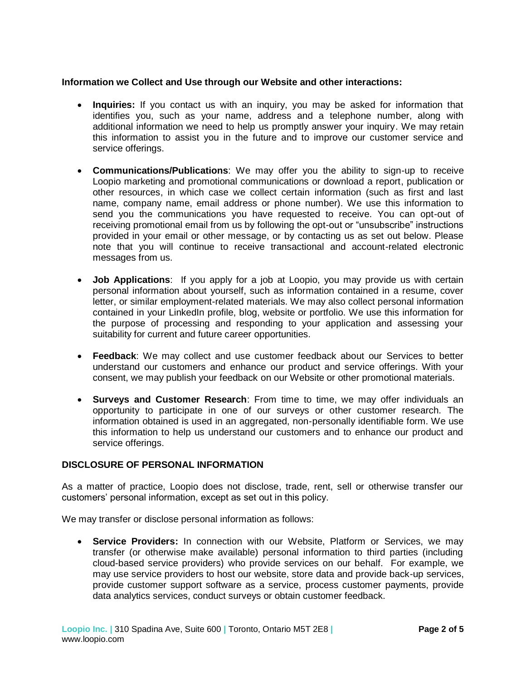## **Information we Collect and Use through our Website and other interactions:**

- **Inquiries:** If you contact us with an inquiry, you may be asked for information that identifies you, such as your name, address and a telephone number, along with additional information we need to help us promptly answer your inquiry. We may retain this information to assist you in the future and to improve our customer service and service offerings.
- **Communications/Publications**: We may offer you the ability to sign-up to receive Loopio marketing and promotional communications or download a report, publication or other resources, in which case we collect certain information (such as first and last name, company name, email address or phone number). We use this information to send you the communications you have requested to receive. You can opt-out of receiving promotional email from us by following the opt-out or "unsubscribe" instructions provided in your email or other message, or by contacting us as set out below. Please note that you will continue to receive transactional and account-related electronic messages from us.
- **Job Applications**: If you apply for a job at Loopio, you may provide us with certain personal information about yourself, such as information contained in a resume, cover letter, or similar employment-related materials. We may also collect personal information contained in your LinkedIn profile, blog, website or portfolio. We use this information for the purpose of processing and responding to your application and assessing your suitability for current and future career opportunities.
- **Feedback**: We may collect and use customer feedback about our Services to better understand our customers and enhance our product and service offerings. With your consent, we may publish your feedback on our Website or other promotional materials.
- **Surveys and Customer Research**: From time to time, we may offer individuals an opportunity to participate in one of our surveys or other customer research. The information obtained is used in an aggregated, non-personally identifiable form. We use this information to help us understand our customers and to enhance our product and service offerings.

## **DISCLOSURE OF PERSONAL INFORMATION**

As a matter of practice, Loopio does not disclose, trade, rent, sell or otherwise transfer our customers' personal information, except as set out in this policy.

We may transfer or disclose personal information as follows:

**Service Providers:** In connection with our Website, Platform or Services, we may transfer (or otherwise make available) personal information to third parties (including cloud-based service providers) who provide services on our behalf. For example, we may use service providers to host our website, store data and provide back-up services, provide customer support software as a service, process customer payments, provide data analytics services, conduct surveys or obtain customer feedback.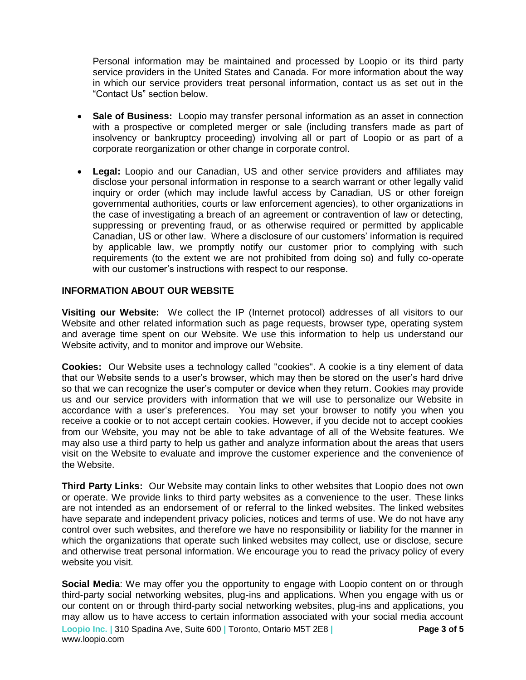Personal information may be maintained and processed by Loopio or its third party service providers in the United States and Canada. For more information about the way in which our service providers treat personal information, contact us as set out in the "Contact Us" section below.

- **Sale of Business:** Loopio may transfer personal information as an asset in connection with a prospective or completed merger or sale (including transfers made as part of insolvency or bankruptcy proceeding) involving all or part of Loopio or as part of a corporate reorganization or other change in corporate control.
- **Legal:** Loopio and our Canadian, US and other service providers and affiliates may disclose your personal information in response to a search warrant or other legally valid inquiry or order (which may include lawful access by Canadian, US or other foreign governmental authorities, courts or law enforcement agencies), to other organizations in the case of investigating a breach of an agreement or contravention of law or detecting, suppressing or preventing fraud, or as otherwise required or permitted by applicable Canadian, US or other law. Where a disclosure of our customers' information is required by applicable law, we promptly notify our customer prior to complying with such requirements (to the extent we are not prohibited from doing so) and fully co-operate with our customer's instructions with respect to our response.

## **INFORMATION ABOUT OUR WEBSITE**

**Visiting our Website:** We collect the IP (Internet protocol) addresses of all visitors to our Website and other related information such as page requests, browser type, operating system and average time spent on our Website. We use this information to help us understand our Website activity, and to monitor and improve our Website.

**Cookies:** Our Website uses a technology called "cookies". A cookie is a tiny element of data that our Website sends to a user's browser, which may then be stored on the user's hard drive so that we can recognize the user's computer or device when they return. Cookies may provide us and our service providers with information that we will use to personalize our Website in accordance with a user's preferences. You may set your browser to notify you when you receive a cookie or to not accept certain cookies. However, if you decide not to accept cookies from our Website, you may not be able to take advantage of all of the Website features. We may also use a third party to help us gather and analyze information about the areas that users visit on the Website to evaluate and improve the customer experience and the convenience of the Website.

**Third Party Links:** Our Website may contain links to other websites that Loopio does not own or operate. We provide links to third party websites as a convenience to the user. These links are not intended as an endorsement of or referral to the linked websites. The linked websites have separate and independent privacy policies, notices and terms of use. We do not have any control over such websites, and therefore we have no responsibility or liability for the manner in which the organizations that operate such linked websites may collect, use or disclose, secure and otherwise treat personal information. We encourage you to read the privacy policy of every website you visit.

**Loopio Inc. |** 310 Spadina Ave, Suite 600 **|** Toronto, Ontario M5T 2E8 **|** www.loopio.com **Page 3 of 5 Social Media**: We may offer you the opportunity to engage with Loopio content on or through third-party social networking websites, plug-ins and applications. When you engage with us or our content on or through third-party social networking websites, plug-ins and applications, you may allow us to have access to certain information associated with your social media account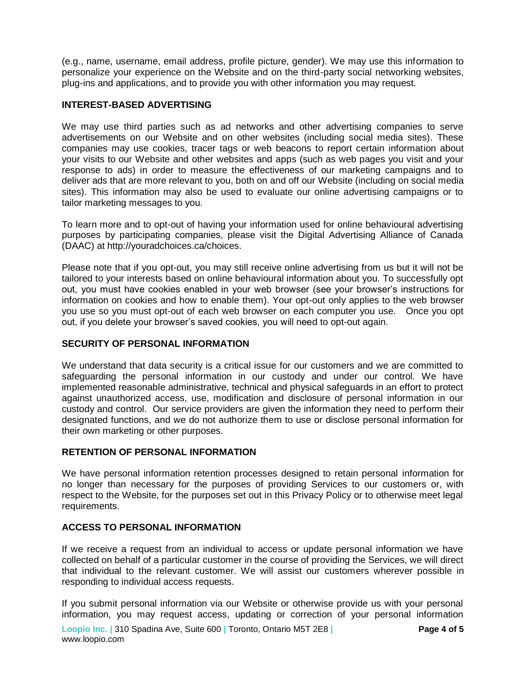(e.g., name, username, email address, profile picture, gender). We may use this information to personalize your experience on the Website and on the third-party social networking websites, plug-ins and applications, and to provide you with other information you may request.

## **INTEREST-BASED ADVERTISING**

We may use third parties such as ad networks and other advertising companies to serve advertisements on our Website and on other websites (including social media sites). These companies may use cookies, tracer tags or web beacons to report certain information about your visits to our Website and other websites and apps (such as web pages you visit and your response to ads) in order to measure the effectiveness of our marketing campaigns and to deliver ads that are more relevant to you, both on and off our Website (including on social media sites). This information may also be used to evaluate our online advertising campaigns or to tailor marketing messages to you.

To learn more and to opt-out of having your information used for online behavioural advertising purposes by participating companies, please visit the Digital Advertising Alliance of Canada (DAAC) at http://youradchoices.ca/choices.

Please note that if you opt-out, you may still receive online advertising from us but it will not be tailored to your interests based on online behavioural information about you. To successfully opt out, you must have cookies enabled in your web browser (see your browser's instructions for information on cookies and how to enable them). Your opt-out only applies to the web browser you use so you must opt-out of each web browser on each computer you use. Once you opt out, if you delete your browser's saved cookies, you will need to opt-out again.

## **SECURITY OF PERSONAL INFORMATION**

We understand that data security is a critical issue for our customers and we are committed to safeguarding the personal information in our custody and under our control. We have implemented reasonable administrative, technical and physical safeguards in an effort to protect against unauthorized access, use, modification and disclosure of personal information in our custody and control. Our service providers are given the information they need to perform their designated functions, and we do not authorize them to use or disclose personal information for their own marketing or other purposes.

## **RETENTION OF PERSONAL INFORMATION**

We have personal information retention processes designed to retain personal information for no longer than necessary for the purposes of providing Services to our customers or, with respect to the Website, for the purposes set out in this Privacy Policy or to otherwise meet legal requirements.

#### **ACCESS TO PERSONAL INFORMATION**

If we receive a request from an individual to access or update personal information we have collected on behalf of a particular customer in the course of providing the Services, we will direct that individual to the relevant customer. We will assist our customers wherever possible in responding to individual access requests.

If you submit personal information via our Website or otherwise provide us with your personal information, you may request access, updating or correction of your personal information